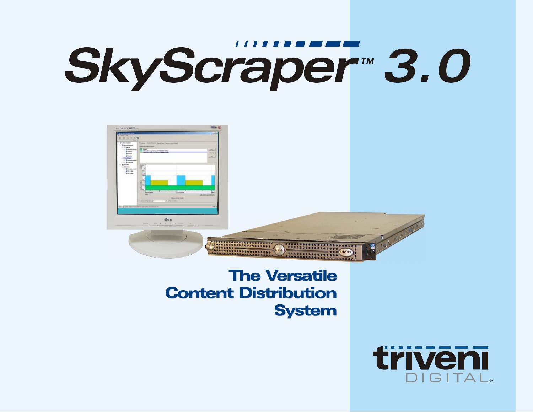# SkyScraper<sup>™</sup> 3.0



# **The Versatile** Content Distribution Content Distribution System System

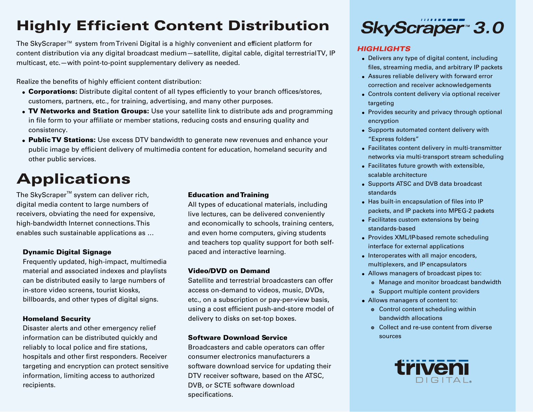# Highly Efficient Content Distribution

The SkyScraper™ system from Triveni Digital is a highly convenient and efficient platform for content distribution via any digital broadcast medium—satellite, digital cable, digital terrestrial TV, IP multicast, etc.—with point-to-point supplementary delivery as needed.

Realize the benefits of highly efficient content distribution:

- Corporations: Distribute digital content of all types efficiently to your branch offices/stores, customers, partners, etc., for training, advertising, and many other purposes.
- . TV Networks and Station Groups: Use your satellite link to distribute ads and programming in file form to your affiliate or member stations, reducing costs and ensuring quality and consistency.
- **. Public TV Stations:** Use excess DTV bandwidth to generate new revenues and enhance your public image by efficient delivery of multimedia content for education, homeland security and other public services.

# Applications

The SkyScraper<sup> $M$ </sup> system can deliver rich, **Education and Training** digital media content to large numbers of All types of educational materials, including receivers, obviating the need for expensive, live lectures, can be delivered conveniently enables such sustainable applications as … and even home computers, giving students

Frequently updated, high-impact, multimedia material and associated indexes and playlists **Video/DVD on Demand** in-store video screens, tourist kiosks, access on-demand to videos, music, DVDs, billboards, and other types of digital signs. etc., on a subscription or pay-per-view basis,

Disaster alerts and other emergency relief information can be distributed quickly and **Software Download Service** reliably to local police and fire stations, Broadcasters and cable operators can offer hospitals and other first responders. Receiver consumer electronics manufacturers a targeting and encryption can protect sensitive software download service for updating their information, limiting access to authorized DTV receiver software, based on the ATSC, recipients. DVB, or SCTE software download

high-bandwidth Internet connections. This and economically to schools, training centers, and teachers top quality support for both self-**Dynamic Digital Signage paced and interactive learning.** 

can be distributed easily to large numbers of Satellite and terrestrial broadcasters can offer using a cost efficient push-and-store model of **Homeland Security** delivery to disks on set-top boxes.

specifications.



### *HIGHLIGHTS*

- . Delivers any type of digital content, including files, streaming media, and arbitrary IP packets
- ! Assures reliable delivery with forward error correction and receiver acknowledgements
- . Controls content delivery via optional receiver targeting
- Provides security and privacy through optional encryption
- Supports automated content delivery with "Express folders"
- . Facilitates content delivery in multi-transmitter networks via multi-transport stream scheduling
- . Facilitates future growth with extensible, scalable architecture
- Supports ATSC and DVB data broadcast standards
- . Has built-in encapsulation of files into IP packets, and IP packets into MPEG-2 packets
- . Facilitates custom extensions by being standards-based
- Provides XML/IP-based remote scheduling interface for external applications
- Interoperates with all major encoders, multiplexers, and IP encapsulators
- ! Allows managers of broadcast pipes to:
	- $\bullet$  Manage and monitor broadcast bandwidth
	- Support multiple content providers
- ! Allows managers of content to:
	- Control content scheduling within bandwidth allocations
	- $\circ$  Collect and re-use content from diverse sources

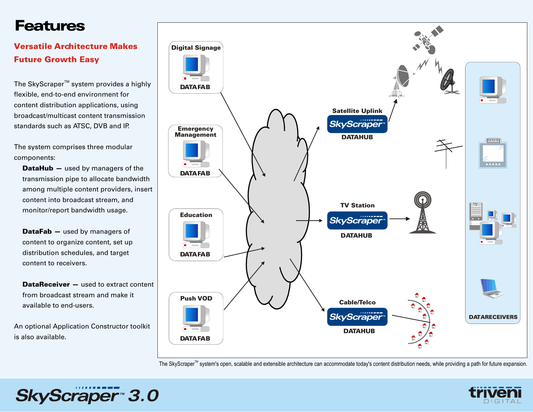# Features

### Versatile Architecture Makes Future Growth Easy

The SkyScraper<sup>™</sup> system provides a highly flexible, end-to-end environment for content distribution applications, using broadcast/multicast content transmission standards such as ATSC, DVB and IP.

The system comprises three modular components:

DataHub - used by managers of the transmission pipe to allocate bandwidth among multiple content providers, insert content into broadcast stream, and monitor/report bandwidth usage.

DataFab – used by managers of content to organize content, set up distribution schedules, and target content to receivers.

**DataReceiver –** used to extract content from broadcast stream and make it available to end-users.

An optional Application Constructor toolkit is also available.

SkyScraper<sup>-</sup>3.0



The SkyScraper<sup>™</sup> system's open, scalable and extensible architecture can accommodate today's content distribution needs, while providing a path for future expansion.

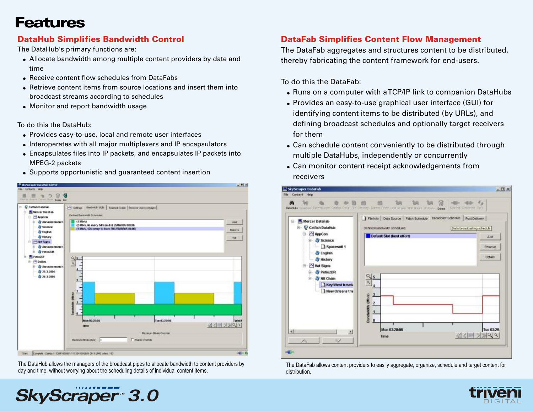### Features

### DataHub Simplifies Bandwidth Control

The DataHub's primary functions are:

- ! Allocate bandwidth among multiple content providers by date and time
- ! Receive content flow schedules from DataFabs
- ! Retrieve content items from source locations and insert them into broadcast streams according to schedules
- Monitor and report bandwidth usage

To do this the DataHub:

- ! Provides easy-to-use, local and remote user interfaces
- Interoperates with all major multiplexers and IP encapsulators
- ! Encapsulates files into IP packets, and encapsulates IP packets into MPEG-2 packets
- Supports opportunistic and quaranteed content insertion



The DataHub allows the managers of the broadcast pipes to allocate bandwidth to content providers by day and time, without worrying about the scheduling details of individual content items.

### DataFab Simplifies Content Flow Management

The DataFab aggregates and structures content to be distributed, thereby fabricating the content framework for end-users.

To do this the DataFab:

- . Runs on a computer with a TCP/IP link to companion DataHubs
- ! Provides an easy-to-use graphical user interface (GUI) for identifying content items to be distributed (by URLs), and defining broadcast schedules and optionally target receivers for them
- . Can schedule content conveniently to be distributed through multiple DataHubs, independently or concurrently
- . Can monitor content receipt acknowledgements from receivers



The DataFab allows content providers to easily aggregate, organize, schedule and target content for distribution.



# SkyScraper<sup>-</sup>3.0